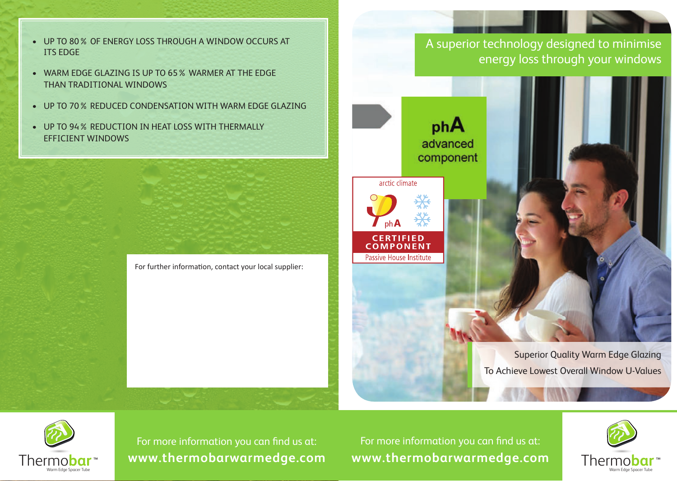- Up to 80% of energy loss through a window occurs at its edge
- WARM EDGE GLAZING IS UP TO 65% WARMER AT THE EDGE than traditional windows
- UP TO 70% REDUCED CONDENSATION WITH WARM EDGE GLAZING
- Up to 94% reduction in heat loss with thermally efficient windows

A superior technology designed to minimise energy loss through your windows





For more information you can find us at: **www.thermobarwarmedge.com**

For further information, contact your local supplier:

For more information you can find us at: **www.thermobarwarmedge.com**